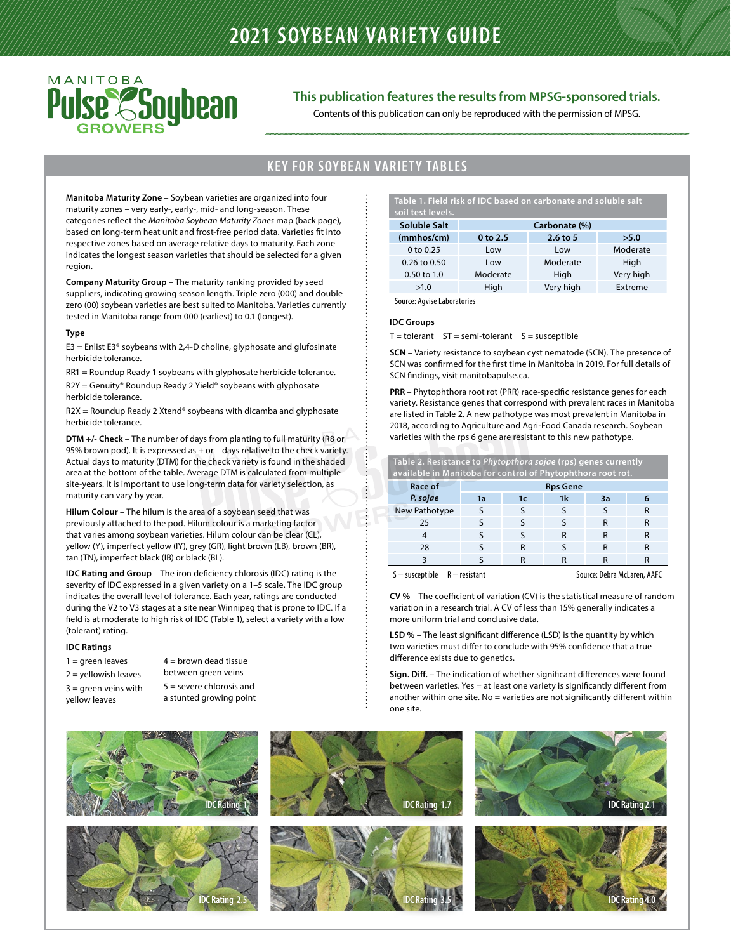

#### **This publication features the results from MPSG-sponsored trials.**

Contents of this publication can only be reproduced with the permission of MPSG.

#### **KEY FOR SOYBEAN VARIETY TABLES**

**Manitoba Maturity Zone** – Soybean varieties are organized into four maturity zones – very early-, early-, mid- and long-season. These categories reflect the *Manitoba Soybean Maturity Zones* map (back page), based on long-term heat unit and frost-free period data. Varieties fit into respective zones based on average relative days to maturity. Each zone indicates the longest season varieties that should be selected for a given region.

**Company Maturity Group** – The maturity ranking provided by seed suppliers, indicating growing season length. Triple zero (000) and double zero (00) soybean varieties are best suited to Manitoba. Varieties currently tested in Manitoba range from 000 (earliest) to 0.1 (longest).

#### **Type**

 $E3 =$  Enlist E3<sup>®</sup> soybeans with 2,4-D choline, glyphosate and glufosinate herbicide tolerance.

RR1 = Roundup Ready 1 soybeans with glyphosate herbicide tolerance.

R2Y = Genuity® Roundup Ready 2 Yield® soybeans with glyphosate herbicide tolerance.

R2X = Roundup Ready 2 Xtend® soybeans with dicamba and glyphosate herbicide tolerance.

**DTM +/- Check** – The number of days from planting to full maturity (R8 or 95% brown pod). It is expressed as  $+$  or  $-$  days relative to the check variety. Actual days to maturity (DTM) for the check variety is found in the shaded area at the bottom of the table. Average DTM is calculated from multiple site-years. It is important to use long-term data for variety selection, as maturity can vary by year.

**Hilum Colour** – The hilum is the area of a soybean seed that was previously attached to the pod. Hilum colour is a marketing factor that varies among soybean varieties. Hilum colour can be clear (CL), yellow (Y), imperfect yellow (IY), grey (GR), light brown (LB), brown (BR), tan (TN), imperfect black (IB) or black (BL).

**IDC Rating and Group** – The iron deficiency chlorosis (IDC) rating is the severity of IDC expressed in a given variety on a 1–5 scale. The IDC group indicates the overall level of tolerance. Each year, ratings are conducted during the V2 to V3 stages at a site near Winnipeg that is prone to IDC. If a field is at moderate to high risk of IDC (Table 1), select a variety with a low (tolerant) rating.

#### **IDC Ratings**

| $1 =$ qreen leaves     | $4 =$ brown dead tissue    |
|------------------------|----------------------------|
| 2 = yellowish leaves   | between green veins        |
| $3 =$ qreen veins with | $5 =$ severe chlorosis and |
| yellow leaves          | a stunted growing point    |

**Table 1. Field risk of IDC based on carbonate and soluble salt soil test levels.**

| Soluble Salt           |              | Carbonate (%) |           |
|------------------------|--------------|---------------|-----------|
| (mmbos/cm)             | $0$ to $2.5$ | $2.6$ to 5    | >5.0      |
| 0 to $0.25$            | Low          | Low           | Moderate  |
| $0.26$ to $0.50$       | Low          | Moderate      | High      |
| $0.50 \text{ to } 1.0$ | Moderate     | High          | Very high |
| >1.0                   | High         | Very high     | Extreme   |

Source: Agvise Laboratories

#### **IDC Groups**

 $T =$  tolerant  $ST =$  semi-tolerant  $S =$  susceptible

**SCN** – Variety resistance to soybean cyst nematode (SCN). The presence of SCN was confirmed for the first time in Manitoba in 2019. For full details of SCN findings, visit manitobapulse.ca.

**PRR** – Phytophthora root rot (PRR) race-specific resistance genes for each variety. Resistance genes that correspond with prevalent races in Manitoba are listed in Table 2. A new pathotype was most prevalent in Manitoba in 2018, according to Agriculture and Agri-Food Canada research. Soybean varieties with the rps 6 gene are resistant to this new pathotype.

| Table 2. Resistance to Phytopthora sojae (rps) genes currently<br>available in Manitoba for control of Phytophthora root rot. |    |                 |    |    |   |  |  |  |  |  |  |  |
|-------------------------------------------------------------------------------------------------------------------------------|----|-----------------|----|----|---|--|--|--|--|--|--|--|
| Race of                                                                                                                       |    | <b>Rps Gene</b> |    |    |   |  |  |  |  |  |  |  |
| P. sojae                                                                                                                      | 1a | 1c              | 1k | Зa | 6 |  |  |  |  |  |  |  |
| New Pathotype                                                                                                                 | ς  | ς               | ς  | ς  | R |  |  |  |  |  |  |  |
| 25                                                                                                                            |    | ς               | ς  | R  | R |  |  |  |  |  |  |  |
| 4                                                                                                                             |    | ς               | R  | R  | R |  |  |  |  |  |  |  |
| 28                                                                                                                            |    | R               | ς  | R  | R |  |  |  |  |  |  |  |
| 3                                                                                                                             |    | R               | R  | R  | R |  |  |  |  |  |  |  |
|                                                                                                                               |    |                 |    |    |   |  |  |  |  |  |  |  |

S = susceptible R = resistant Source: Debra McLaren, AAFC

**CV %** – The coefficient of variation (CV) is the statistical measure of random variation in a research trial. A CV of less than 15% generally indicates a more uniform trial and conclusive data.

**LSD %** – The least significant difference (LSD) is the quantity by which two varieties must differ to conclude with 95% confidence that a true difference exists due to genetics.

**Sign. Diff. –** The indication of whether significant differences were found between varieties. Yes = at least one variety is significantly different from another within one site. No = varieties are not significantly different within one site.

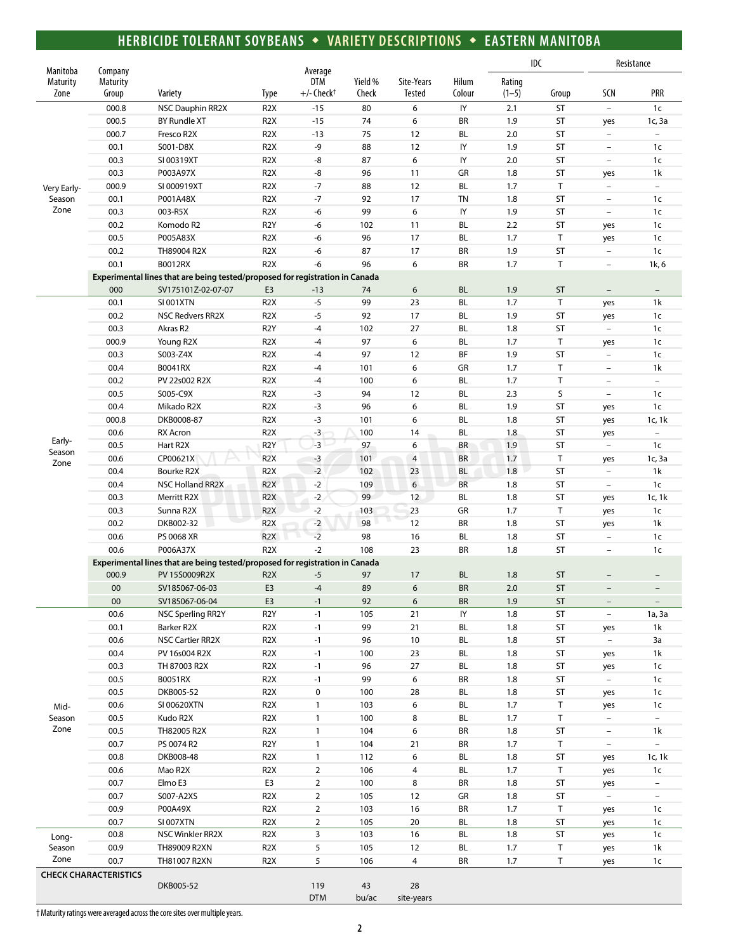### **HERBICIDE TOLERANT SOYBEANS** w **VARIETY DESCRIPTIONS** w **EASTERN MANITOBA**

| Manitoba                |                                     |                                                                              |                                      |                                            |                  |                      |                  |                   | IDC       | Resistance                                      |                                    |
|-------------------------|-------------------------------------|------------------------------------------------------------------------------|--------------------------------------|--------------------------------------------|------------------|----------------------|------------------|-------------------|-----------|-------------------------------------------------|------------------------------------|
| <b>Maturity</b><br>Zone | Company<br><b>Maturity</b><br>Group | Variety                                                                      | <b>Type</b>                          | Average<br>DTM<br>$+/-$ Check <sup>+</sup> | Yield %<br>Check | Site-Years<br>Tested | Hilum<br>Colour  | Rating<br>$(1-5)$ | Group     | SCN                                             | PRR                                |
|                         |                                     |                                                                              |                                      |                                            |                  |                      |                  |                   |           |                                                 |                                    |
|                         | 000.8                               | NSC Dauphin RR2X                                                             | R <sub>2</sub> X                     | $-15$                                      | 80               | 6                    | IY               | 2.1               | <b>ST</b> | $\bar{\phantom{a}}$                             | 1 <sub>c</sub>                     |
|                         | 000.5                               | <b>BY Rundle XT</b>                                                          | R <sub>2</sub> X                     | $-15$                                      | 74               | 6                    | <b>BR</b>        | 1.9               | ST        | yes                                             | 1c, 3a<br>$\overline{\phantom{0}}$ |
|                         | 000.7                               | Fresco R2X                                                                   | R <sub>2</sub> X                     | $-13$                                      | 75               | 12                   | BL               | 2.0               | ST        | $\overline{\phantom{a}}$                        |                                    |
|                         | 00.1<br>00.3                        | S001-D8X                                                                     | R <sub>2</sub> X<br>R <sub>2</sub> X | -9<br>-8                                   | 88<br>87         | 12<br>6              | IY<br>${\sf IY}$ | 1.9<br>2.0        | ST<br>ST  | $\overline{\phantom{a}}$<br>$\bar{\phantom{a}}$ | 1 <sub>c</sub>                     |
|                         | 00.3                                | SI 00319XT                                                                   | R <sub>2</sub> X                     | -8                                         | 96               | 11                   | GR               | 1.8               | ST        |                                                 | 1 <sub>c</sub>                     |
|                         | 000.9                               | P003A97X                                                                     | R <sub>2</sub> X                     | $-7$                                       | 88               | 12                   | BL               | 1.7               | $\top$    | yes<br>$\overline{\phantom{0}}$                 | 1k<br>$\overline{\phantom{0}}$     |
| Very Early-             |                                     | SI 000919XT<br>P001A48X                                                      | R <sub>2</sub> X                     | $-7$                                       | 92               | 17                   | <b>TN</b>        | 1.8               | <b>ST</b> | $\bar{\phantom{a}}$                             |                                    |
| Season<br>Zone          | 00.1<br>00.3                        | 003-R5X                                                                      | R <sub>2</sub> X                     | -6                                         | 99               | 6                    | ${\sf IY}$       | 1.9               | ST        | $\bar{\phantom{a}}$                             | 1c<br>1 <sub>c</sub>               |
|                         |                                     | Komodo R2                                                                    |                                      |                                            |                  |                      |                  | 2.2               | <b>ST</b> |                                                 |                                    |
|                         | 00.2<br>00.5                        | P005A83X                                                                     | R <sub>2</sub> Y<br>R <sub>2</sub> X | -6<br>-6                                   | 102<br>96        | 11<br>17             | BL<br>BL         | 1.7               | T         | yes                                             | 1c                                 |
|                         | 00.2                                | TH89004 R2X                                                                  | R <sub>2</sub> X                     | -6                                         | 87               | 17                   | <b>BR</b>        | 1.9               | <b>ST</b> | yes<br>$\overline{\phantom{a}}$                 | 1c<br>1c                           |
|                         | 00.1                                | <b>B0012RX</b>                                                               | R <sub>2</sub> X                     | $-6$                                       | 96               | 6                    | <b>BR</b>        | 1.7               | $\top$    | $\overline{\phantom{a}}$                        | 1k, 6                              |
|                         |                                     | Experimental lines that are being tested/proposed for registration in Canada |                                      |                                            |                  |                      |                  |                   |           |                                                 |                                    |
|                         | 000                                 | SV175101Z-02-07-07                                                           | E3                                   | $-13$                                      | 74               | 6                    | <b>BL</b>        | 1.9               | <b>ST</b> | $\qquad \qquad -$                               | $\overline{\phantom{0}}$           |
|                         | 00.1                                | <b>SI 001XTN</b>                                                             | R <sub>2</sub> X                     | $-5$                                       | 99               | 23                   | BL               | 1.7               | $\top$    |                                                 | 1k                                 |
|                         | 00.2                                | <b>NSC Redvers RR2X</b>                                                      | R <sub>2</sub> X                     | $-5$                                       | 92               | 17                   | BL               | 1.9               | ST        | yes                                             | 1 <sub>c</sub>                     |
|                         | 00.3                                | Akras R2                                                                     | R <sub>2</sub> Y                     | $-4$                                       | 102              | 27                   | BL               | 1.8               | <b>ST</b> | yes<br>$\overline{\phantom{a}}$                 | 1 <sub>c</sub>                     |
|                         | 000.9                               | Young R2X                                                                    | R <sub>2</sub> X                     | $-4$                                       | 97               | 6                    | BL               | 1.7               | T         |                                                 | 1 <sub>c</sub>                     |
|                         | 00.3                                | S003-Z4X                                                                     | R <sub>2</sub> X                     | $-4$                                       | 97               | 12                   | BF               | 1.9               | <b>ST</b> | yes<br>$\overline{\phantom{a}}$                 | 1 <sub>c</sub>                     |
|                         | 00.4                                | B0041RX                                                                      | R <sub>2</sub> X                     | $-4$                                       | 101              | 6                    | GR               | 1.7               | T         | $\qquad \qquad -$                               | 1k                                 |
|                         | 00.2                                | PV 22s002 R2X                                                                | R <sub>2</sub> X                     | $-4$                                       | 100              | 6                    | <b>BL</b>        | 1.7               | T         | $\overline{\phantom{a}}$                        | $\overline{\phantom{0}}$           |
|                         | 00.5                                | S005-C9X                                                                     | R <sub>2</sub> X                     | $-3$                                       | 94               | 12                   | BL               | 2.3               | S         | $\overline{\phantom{0}}$                        | 1c                                 |
|                         | 00.4                                | Mikado R2X                                                                   | R <sub>2</sub> X                     | $-3$                                       | 96               | 6                    | BL               | 1.9               | ST        | yes                                             | 1c                                 |
|                         | 000.8                               | DKB0008-87                                                                   | R <sub>2</sub> X                     | $-3$                                       | 101              | 6                    | BL               | 1.8               | ST        |                                                 | 1c, 1k                             |
|                         | 00.6                                | <b>RX</b> Acron                                                              | R <sub>2</sub> X                     | $-3$                                       | 100              | 14                   | BL               | 1.8               | ST        | yes<br>yes                                      | $\bar{\phantom{a}}$                |
| Early-                  | 00.5                                | Hart R2X                                                                     | R <sub>2</sub> Y                     | $-3$                                       | 97               | 6                    | <b>BR</b>        | 1.9               | ST        | $\overline{\phantom{0}}$                        | 1 <sub>c</sub>                     |
| Season                  | 00.6                                | CP00621X                                                                     | R <sub>2</sub> X                     | $-3$                                       | 101              | $\overline{4}$       | <b>BR</b>        | 1.7               | Τ         | yes                                             | 1c, 3a                             |
| Zone                    | 00.4                                | Bourke R2X                                                                   | R <sub>2</sub> X                     | $-2$                                       | 102              | 23                   | BL               | 1.8               | ST        | $\qquad \qquad -$                               | 1k                                 |
|                         | 00.4                                | <b>NSC Holland RR2X</b>                                                      | R <sub>2</sub> X                     | $-2$                                       | 109              | 6                    | BR               | 1.8               | ST        | $\overline{\phantom{a}}$                        | 1 <sub>c</sub>                     |
|                         | 00.3                                | Merritt R2X                                                                  | R <sub>2</sub> X                     | $-2$                                       | 99               | 12                   | BL               | 1.8               | ST        | yes                                             | 1c, 1k                             |
|                         | 00.3                                | Sunna R2X                                                                    | R <sub>2</sub> X                     | $-2$                                       | 103              | 23                   | GR               | 1.7               | Τ         | yes                                             | 1 <sub>c</sub>                     |
|                         | 00.2                                | DKB002-32                                                                    | R <sub>2</sub> X                     | $-2$                                       | 98               | 12                   | BR               | 1.8               | <b>ST</b> | yes                                             | 1k                                 |
|                         | 00.6                                | PS 0068 XR                                                                   | R <sub>2</sub> X                     | $-2$                                       | 98               | 16                   | BL               | 1.8               | ST        | $\bar{\phantom{a}}$                             | 1c                                 |
|                         | 00.6                                | P006A37X                                                                     | R <sub>2</sub> X                     | $-2$                                       | 108              | 23                   | <b>BR</b>        | 1.8               | <b>ST</b> | $\overline{\phantom{0}}$                        | 1c                                 |
|                         |                                     | Experimental lines that are being tested/proposed for registration in Canada |                                      |                                            |                  |                      |                  |                   |           |                                                 |                                    |
|                         | 000.9                               | PV 15S0009R2X                                                                | R <sub>2</sub> X                     | $-5$                                       | 97               | 17                   | <b>BL</b>        | 1.8               | ST        |                                                 |                                    |
|                         | 00                                  | SV185067-06-03                                                               | E <sub>3</sub>                       | $-4$                                       | 89               | 6                    | <b>BR</b>        | 2.0               | <b>ST</b> |                                                 |                                    |
|                         | ${\bf 00}$                          | SV185067-06-04                                                               | E <sub>3</sub>                       | -1                                         | 92               | 6                    | BR               | 1.9               | ST        |                                                 |                                    |
|                         | 00.6                                | <b>NSC Sperling RR2Y</b>                                                     | R <sub>2</sub> Y                     | $-1$                                       | 105              | 21                   | IY               | 1.8               | ST        | $\overline{\phantom{a}}$                        | 1a, 3a                             |
|                         | 00.1                                | Barker R2X                                                                   | R <sub>2</sub> X                     | $-1$                                       | 99               | 21                   | BL               | 1.8               | ST        | yes                                             | 1k                                 |
|                         | 00.6                                | NSC Cartier RR2X                                                             | R <sub>2</sub> X                     | $-1$                                       | 96               | $10\,$               | $\mathsf{BL}$    | 1.8               | ST        | $\overline{\phantom{a}}$                        | 3a                                 |
|                         | 00.4                                | PV 16s004 R2X                                                                | R <sub>2</sub> X                     | $-1$                                       | 100              | 23                   | BL               | 1.8               | ST        | yes                                             | 1k                                 |
|                         | 00.3                                | TH 87003 R2X                                                                 | R <sub>2</sub> X                     | $-1$                                       | 96               | 27                   | BL               | 1.8               | ST        | yes                                             | 1 <sub>c</sub>                     |
|                         | 00.5                                | B0051RX                                                                      | R <sub>2</sub> X                     | $-1$                                       | 99               | 6                    | BR               | 1.8               | ST        | $\overline{\phantom{a}}$                        | 1 <sub>c</sub>                     |
|                         | 00.5                                | DKB005-52                                                                    | R <sub>2</sub> X                     | 0                                          | 100              | 28                   | BL               | 1.8               | ST        | yes                                             | $1c$                               |
| Mid-                    | 00.6                                | SI 00620XTN                                                                  | R <sub>2</sub> X                     | $\mathbf{1}$                               | 103              | 6                    | BL               | 1.7               | T         | yes                                             | 1 <sub>c</sub>                     |
| Season                  | 00.5                                | Kudo R2X                                                                     | R <sub>2</sub> X                     | $\mathbf{1}$                               | 100              | 8                    | BL               | 1.7               | Τ         | $\overline{\phantom{0}}$                        | $\overline{\phantom{0}}$           |
| Zone                    | 00.5                                | TH82005 R2X                                                                  | R <sub>2</sub> X                     | $\mathbf{1}$                               | 104              | 6                    | BR               | 1.8               | ST        | $\overline{\phantom{a}}$                        | 1k                                 |
|                         | 00.7                                | PS 0074 R2                                                                   | R <sub>2</sub> Y                     | $\mathbf{1}$                               | 104              | 21                   | BR               | 1.7               | Τ         | $\overline{\phantom{0}}$                        | ÷.                                 |
|                         | 00.8                                | DKB008-48                                                                    | R <sub>2</sub> X                     | $\mathbf{1}$                               | 112              | 6                    | BL               | 1.8               | ST        | yes                                             | 1c, 1k                             |
|                         | 00.6                                | Mao R2X                                                                      | R <sub>2</sub> X                     | $\overline{2}$                             | 106              | $\overline{4}$       | BL               | 1.7               | Τ         | yes                                             | 1 <sub>c</sub>                     |
|                         | 00.7                                | Elmo E3                                                                      | E3                                   | $\overline{2}$                             | 100              | 8                    | BR               | 1.8               | ST        | yes                                             | $\overline{\phantom{a}}$           |
|                         | 00.7                                | S007-A2XS                                                                    | R <sub>2</sub> X                     | $\overline{2}$                             | 105              | 12                   | ${\sf GR}$       | 1.8               | ST        | $\overline{\phantom{a}}$                        | $\overline{\phantom{0}}$           |
|                         | 00.9                                | P00A49X                                                                      | R <sub>2</sub> X                     | $\overline{2}$                             | 103              | 16                   | BR               | 1.7               | T.        | yes                                             | 1c                                 |
|                         | 00.7                                | SI 007XTN                                                                    | R <sub>2</sub> X                     | $\overline{2}$                             | 105              | 20                   | BL               | 1.8               | ST        | yes                                             | 1 <sub>c</sub>                     |
| Long-                   | 00.8                                | NSC Winkler RR2X                                                             | R <sub>2</sub> X                     | 3                                          | 103              | 16                   | BL               | 1.8               | ST        | yes                                             | 1 <sub>c</sub>                     |
| Season                  | 00.9                                | TH89009 R2XN                                                                 | R <sub>2</sub> X                     | 5                                          | 105              | 12                   | BL               | 1.7               | Τ         | yes                                             | 1k                                 |
| Zone                    | 00.7                                | TH81007 R2XN                                                                 | R <sub>2</sub> X                     | 5                                          | 106              | 4                    | BR               | 1.7               | Τ         | yes                                             | 1c                                 |
|                         | <b>CHECK CHARACTERISTICS</b>        |                                                                              |                                      |                                            |                  |                      |                  |                   |           |                                                 |                                    |
|                         |                                     | DKB005-52                                                                    |                                      | 119                                        | 43               | 28                   |                  |                   |           |                                                 |                                    |
|                         |                                     |                                                                              |                                      | <b>DTM</b>                                 | bu/ac            | site-years           |                  |                   |           |                                                 |                                    |

† Maturity ratings were averaged across the core sites over multiple years.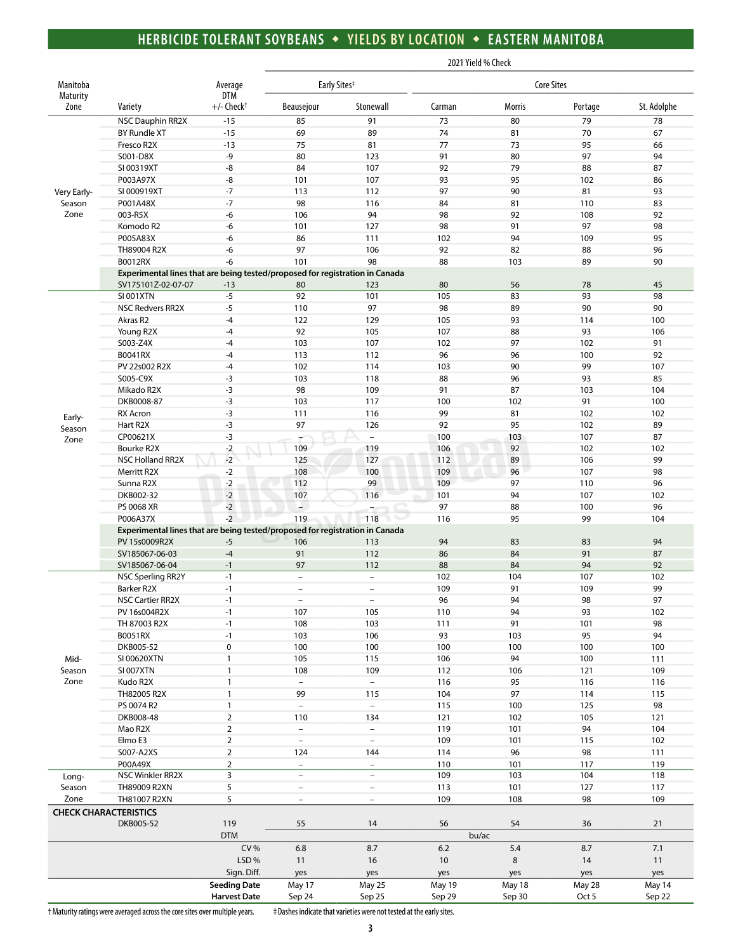### **HERBICIDE TOLERANT SOYBEANS** w **YIELDS BY LOCATION** w **EASTERN MANITOBA**

|                       |                                                                              |                          |                          |                          | 2021 Yield % Check |                   |           |             |
|-----------------------|------------------------------------------------------------------------------|--------------------------|--------------------------|--------------------------|--------------------|-------------------|-----------|-------------|
| Manitoba<br>Maturity  |                                                                              | Average<br><b>DTM</b>    |                          | Early Sites <sup>#</sup> |                    | <b>Core Sites</b> |           |             |
| Zone                  | Variety                                                                      | $+/-$ Check <sup>+</sup> | Beausejour               | Stonewall                | Carman             | Morris            | Portage   | St. Adolphe |
|                       | <b>NSC Dauphin RR2X</b>                                                      | $-15$                    | 85                       | 91                       | 73                 | 80                | 79        | 78          |
|                       | BY Rundle XT                                                                 | $-15$                    | 69                       | 89                       | 74                 | 81                | 70        | 67          |
|                       | Fresco R2X                                                                   | $-13$                    | 75                       | 81                       | 77                 | 73                | 95        | 66          |
|                       | S001-D8X                                                                     | -9                       | 80                       | 123                      | 91                 | 80                | 97        | 94          |
|                       | SI 00319XT                                                                   | -8                       | 84                       | 107                      | 92                 | 79                | 88        | 87          |
|                       | P003A97X<br>SI 000919XT                                                      | -8<br>$-7$               | 101<br>113               | 107<br>112               | 93<br>97           | 95<br>90          | 102<br>81 | 86<br>93    |
| Very Early-<br>Season | P001A48X                                                                     | $-7$                     | 98                       | 116                      | 84                 | 81                | 110       | 83          |
| Zone                  | 003-R5X                                                                      | -6                       | 106                      | 94                       | 98                 | 92                | 108       | 92          |
|                       | Komodo R2                                                                    | -6                       | 101                      | 127                      | 98                 | 91                | 97        | 98          |
|                       | P005A83X                                                                     | -6                       | 86                       | 111                      | 102                | 94                | 109       | 95          |
|                       | TH89004 R2X                                                                  | -6                       | 97                       | 106                      | 92                 | 82                | 88        | 96          |
|                       | <b>B0012RX</b>                                                               | -6                       | 101                      | 98                       | 88                 | 103               | 89        | 90          |
|                       | Experimental lines that are being tested/proposed for registration in Canada |                          |                          |                          |                    |                   |           |             |
|                       | SV175101Z-02-07-07                                                           | $-13$                    | 80                       | 123                      | 80                 | 56                | 78        | 45          |
|                       | <b>SI 001XTN</b>                                                             | $-5$                     | 92                       | 101                      | 105                | 83                | 93        | 98          |
|                       | <b>NSC Redvers RR2X</b>                                                      | $-5$                     | 110                      | 97                       | 98                 | 89                | 90        | 90          |
|                       | Akras R2                                                                     | $-4$                     | 122                      | 129                      | 105                | 93                | 114       | 100         |
|                       | Young R2X                                                                    | $-4$                     | 92                       | 105                      | 107                | 88                | 93        | 106         |
|                       | S003-Z4X                                                                     | $-4$                     | 103                      | 107                      | 102                | 97                | 102       | 91          |
|                       | B0041RX                                                                      | $-4$                     | 113                      | 112                      | 96                 | 96                | 100       | 92          |
|                       | PV 22s002 R2X                                                                | $-4$                     | 102                      | 114                      | 103                | 90                | 99        | 107         |
|                       | S005-C9X                                                                     | $-3$                     | 103                      | 118                      | 88<br>91           | 96                | 93        | 85          |
|                       | Mikado R2X<br>DKB0008-87                                                     | $-3$                     | 98<br>103                | 109<br>117               | 100                | 87<br>102         | 103<br>91 | 104         |
|                       | <b>RX Acron</b>                                                              | $-3$<br>$-3$             | 111                      | 116                      | 99                 | 81                | 102       | 100<br>102  |
| Early-                | Hart R2X                                                                     | $-3$                     | 97                       | 126                      | 92                 | 95                | 102       | 89          |
| Season                | CP00621X                                                                     | $-3$                     |                          | $\overline{\phantom{a}}$ | 100                | 103               | 107       | 87          |
| Zone                  | Bourke R2X                                                                   | $-2$                     | 109                      | 119                      | 106                | 92                | 102       | 102         |
|                       | NSC Holland RR2X                                                             | $-2$                     | 125                      | 127                      | 112                | 89                | 106       | 99          |
|                       | Merritt R2X                                                                  | $-2$                     | 108                      | 100                      | 109                | 96                | 107       | 98          |
|                       | Sunna R2X                                                                    | $-2$                     | 112                      | 99                       | 109                | 97                | 110       | 96          |
|                       | DKB002-32                                                                    | $-2$                     | 107                      | 116                      | 101                | 94                | 107       | 102         |
|                       | PS 0068 XR                                                                   | $-2$                     | ш.                       |                          | 97                 | 88                | 100       | 96          |
|                       | P006A37X                                                                     | $-2$                     | 119                      | 118                      | 116                | 95                | 99        | 104         |
|                       | Experimental lines that are being tested/proposed for registration in Canada |                          |                          |                          |                    |                   |           |             |
|                       | PV 15s0009R2X                                                                | $-5$                     | 106                      | 113                      | 94                 | 83                | 83        | 94          |
|                       | SV185067-06-03                                                               | $-4$                     | 91                       | 112                      | 86                 | 84                | 91        | 87          |
|                       | SV185067-06-04                                                               | $-1$                     | 97                       | 112                      | 88                 | 84                | 94        | 92          |
|                       | <b>NSC Sperling RR2Y</b>                                                     | $-1$                     | $\overline{\phantom{a}}$ | $\overline{\phantom{a}}$ | 102                | 104               | 107       | 102         |
|                       | Barker R2X                                                                   | $-1$                     | $\overline{\phantom{a}}$ | $\overline{\phantom{a}}$ | 109                | 91                | 109       | 99          |
|                       | <b>NSC Cartier RR2X</b>                                                      | $-1$                     | $\overline{\phantom{a}}$ | $\overline{\phantom{a}}$ | 96                 | 94                | 98        | 97          |
|                       | PV 16s004R2X<br>TH 87003 R2X                                                 | $-1$<br>$-1$             | 107<br>108               | 105<br>103               | 110<br>111         | 94<br>91          | 93<br>101 | 102<br>98   |
|                       | B0051RX                                                                      | $-1$                     | 103                      | 106                      | 93                 | 103               | 95        | 94          |
|                       | DKB005-52                                                                    | 0                        | 100                      | 100                      | 100                | 100               | 100       | 100         |
| Mid-                  | SI 00620XTN                                                                  | $\mathbf{1}$             | 105                      | 115                      | 106                | 94                | 100       | 111         |
| Season                | SI 007XTN                                                                    | $\mathbf{1}$             | 108                      | 109                      | 112                | 106               | 121       | 109         |
| Zone                  | Kudo R2X                                                                     | $\mathbf{1}$             | $\overline{\phantom{a}}$ | $\overline{\phantom{a}}$ | 116                | 95                | 116       | 116         |
|                       | TH82005 R2X                                                                  | $\mathbf{1}$             | 99                       | 115                      | 104                | 97                | 114       | 115         |
|                       | PS 0074 R2                                                                   | $\mathbf{1}$             | $\overline{\phantom{a}}$ | $\overline{\phantom{a}}$ | 115                | 100               | 125       | 98          |
|                       | DKB008-48                                                                    | $\overline{2}$           | 110                      | 134                      | 121                | 102               | 105       | 121         |
|                       | Mao R2X                                                                      | $\overline{2}$           | $\overline{\phantom{a}}$ | $\overline{\phantom{a}}$ | 119                | 101               | 94        | 104         |
|                       | Elmo E3                                                                      | $\overline{2}$           | $\overline{\phantom{a}}$ | $\equiv$                 | 109                | 101               | 115       | 102         |
|                       | S007-A2XS                                                                    | $\overline{2}$           | 124                      | 144                      | 114                | 96                | 98        | 111         |
|                       | P00A49X                                                                      | $\overline{2}$           | $\equiv$                 | $\equiv$                 | 110                | 101               | 117       | 119         |
| Long-                 | NSC Winkler RR2X                                                             | 3                        | $\overline{\phantom{a}}$ | $\overline{\phantom{a}}$ | 109                | 103               | 104       | 118         |
| Season                | TH89009 R2XN                                                                 | 5                        | $\overline{\phantom{a}}$ | $\overline{\phantom{a}}$ | 113                | 101               | 127       | 117         |
| Zone                  | TH81007 R2XN                                                                 | 5                        | $\overline{\phantom{a}}$ | $\overline{\phantom{a}}$ | 109                | 108               | 98        | 109         |
|                       | <b>CHECK CHARACTERISTICS</b>                                                 |                          |                          |                          |                    |                   |           |             |
|                       | DKB005-52                                                                    | 119<br><b>DTM</b>        | 55                       | 14                       | 56                 | 54                | 36        | 21          |
|                       |                                                                              | CV%                      | 6.8                      | 8.7                      | 6.2                | bu/ac<br>5.4      | 8.7       | 7.1         |
|                       |                                                                              | LSD%                     | 11                       | 16                       | 10                 | 8                 | 14        | 11          |
|                       |                                                                              | Sign. Diff.              | yes                      | yes                      |                    | yes               | yes       | yes         |
|                       |                                                                              | <b>Seeding Date</b>      | May 17                   | May 25                   | yes<br>May 19      | May 18            | May 28    | May 14      |
|                       |                                                                              | <b>Harvest Date</b>      | Sep 24                   | Sep 25                   | Sep 29             | Sep 30            | Oct 5     | Sep 22      |
|                       |                                                                              |                          |                          |                          |                    |                   |           |             |

† Maturity ratings were averaged across the core sites over multiple years. ‡ Dashes indicate that varieties were not tested at the early sites.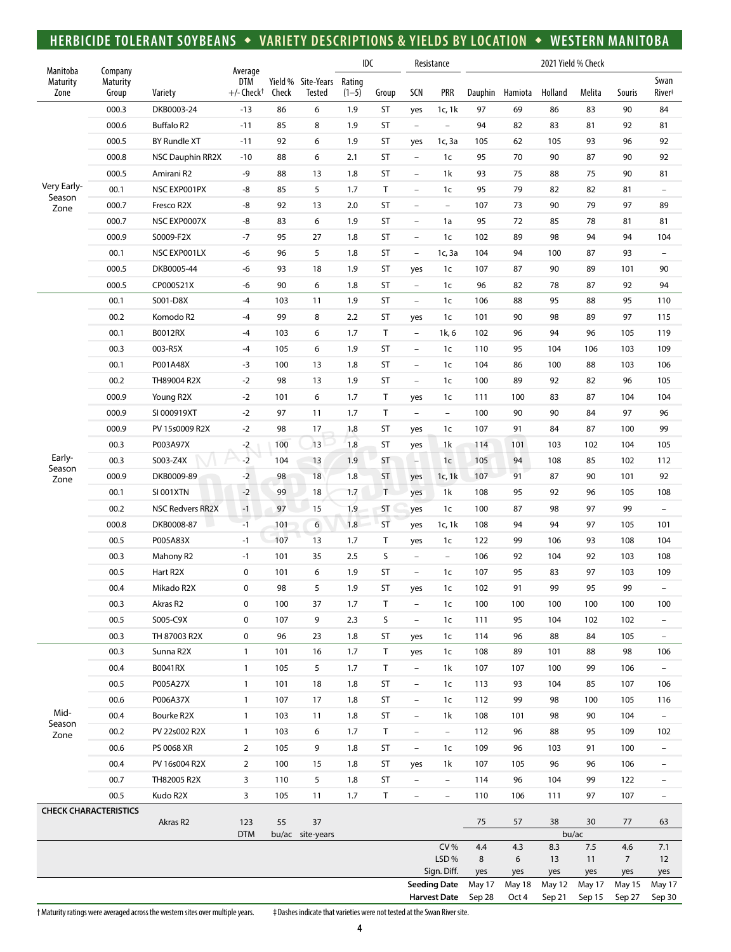### **HERBICIDE TOLERANT SOYBEANS** w **VARIETY DESCRIPTIONS & YIELDS BY LOCATION** w **WESTERN MANITOBA**

| Manitoba         |                                                                                                                                            |                         |                                                   |       |                                     |                   | IDC       |                          | Resistance                                 | 2021 Yield % Check |                 |                  |                  |                         |                            |
|------------------|--------------------------------------------------------------------------------------------------------------------------------------------|-------------------------|---------------------------------------------------|-------|-------------------------------------|-------------------|-----------|--------------------------|--------------------------------------------|--------------------|-----------------|------------------|------------------|-------------------------|----------------------------|
| Maturity<br>Zone | Company<br>Maturity<br>Group                                                                                                               | Variety                 | Average<br><b>DTM</b><br>$+/-$ Check <sup>+</sup> | Check | Yield % Site-Years<br><b>Tested</b> | Rating<br>$(1-5)$ | Group     | SCN                      | <b>PRR</b>                                 | Dauphin            | Hamiota         | Holland          | Melita           | Souris                  | Swan<br>River <sup>#</sup> |
|                  | 000.3                                                                                                                                      | DKB0003-24              | $-13$                                             | 86    | 6                                   | 1.9               | ST        | yes                      | 1c, $1k$                                   | 97                 | 69              | 86               | 83               | 90                      | 84                         |
|                  | 000.6                                                                                                                                      | <b>Buffalo R2</b>       | $-11$                                             | 85    | 8                                   | 1.9               | ST        | $\overline{\phantom{a}}$ | $\bar{ }$                                  | 94                 | 82              | 83               | 81               | 92                      | 81                         |
|                  | 000.5                                                                                                                                      | <b>BY Rundle XT</b>     | $-11$                                             | 92    | 6                                   | 1.9               | ST        | yes                      | 1c, 3a                                     | 105                | 62              | 105              | 93               | 96                      | 92                         |
|                  | 000.8                                                                                                                                      | <b>NSC Dauphin RR2X</b> | $-10$                                             | 88    | 6                                   | 2.1               | <b>ST</b> | $\overline{\phantom{a}}$ | 1c                                         | 95                 | 70              | 90               | 87               | 90                      | 92                         |
|                  | 000.5                                                                                                                                      | Amirani R2              | -9                                                | 88    | 13                                  | 1.8               | ST        | $\qquad \qquad -$        | 1k                                         | 93                 | 75              | 88               | 75               | 90                      | 81                         |
| Very Early-      | 00.1                                                                                                                                       | NSC EXP001PX            | -8                                                | 85    | 5                                   | 1.7               | T         | $\qquad \qquad -$        | 1 <sub>c</sub>                             | 95                 | 79              | 82               | 82               | 81                      | $\overline{\phantom{0}}$   |
| Season<br>Zone   | 000.7                                                                                                                                      | Fresco R2X              | -8                                                | 92    | 13                                  | 2.0               | ST        | $\overline{\phantom{a}}$ | $\overline{\phantom{a}}$                   | 107                | 73              | 90               | 79               | 97                      | 89                         |
|                  | 000.7                                                                                                                                      | NSC EXP0007X            | -8                                                | 83    | 6                                   | 1.9               | ST        | $\equiv$                 | 1a                                         | 95                 | 72              | 85               | 78               | 81                      | 81                         |
|                  | 000.9                                                                                                                                      | S0009-F2X               | -7                                                | 95    | 27                                  | 1.8               | ST        | $\overline{\phantom{a}}$ | 1c                                         | 102                | 89              | 98               | 94               | 94                      | 104                        |
|                  | 00.1                                                                                                                                       | NSC EXP001LX            | -6                                                | 96    | 5                                   | 1.8               | ST        | $\overline{\phantom{a}}$ | 1c, 3a                                     | 104                | 94              | 100              | 87               | 93                      | $\overline{\phantom{0}}$   |
|                  | 000.5                                                                                                                                      | DKB0005-44              | -6                                                | 93    | 18                                  | 1.9               | <b>ST</b> | yes                      | 1 <sub>c</sub>                             | 107                | 87              | 90               | 89               | 101                     | 90                         |
|                  | 000.5                                                                                                                                      | CP000521X               | -6                                                | 90    | 6                                   | 1.8               | ST        | $\overline{\phantom{0}}$ | 1 <sub>c</sub>                             | 96                 | 82              | 78               | 87               | 92                      | 94                         |
|                  | 00.1                                                                                                                                       | S001-D8X                | $-4$                                              | 103   | 11                                  | 1.9               | ST        | $\overline{\phantom{a}}$ | 1 <sub>c</sub>                             | 106                | 88              | 95               | 88               | 95                      | 110                        |
|                  | 00.2                                                                                                                                       | Komodo R2               | -4                                                | 99    | 8                                   | 2.2               | ST        | yes                      | 1 <sub>c</sub>                             | 101                | 90              | 98               | 89               | 97                      | 115                        |
|                  | 00.1                                                                                                                                       | B0012RX                 | $-4$                                              | 103   | 6                                   | 1.7               | T         | $\overline{\phantom{a}}$ | 1k, 6                                      | 102                | 96              | 94               | 96               | 105                     | 119                        |
|                  | 00.3                                                                                                                                       | 003-R5X                 | $-4$                                              | 105   | 6                                   | 1.9               | <b>ST</b> | $\qquad \qquad -$        | 1 <sub>c</sub>                             | 110                | 95              | 104              | 106              | 103                     | 109                        |
|                  | 00.1                                                                                                                                       | P001A48X                | $-3$                                              | 100   | 13                                  | 1.8               | <b>ST</b> | $\overline{\phantom{a}}$ | 1c                                         | 104                | 86              | 100              | 88               | 103                     | 106                        |
|                  | 00.2                                                                                                                                       | TH89004 R2X             | $-2$                                              | 98    | 13                                  | 1.9               | ST        | $\qquad \qquad -$        | 1c                                         | 100                | 89              | 92               | 82               | 96                      | 105                        |
|                  | 000.9                                                                                                                                      | Young R2X               | $-2$                                              | 101   | 6                                   | 1.7               | T         | yes                      | 1c                                         | 111                | 100             | 83               | 87               | 104                     | 104                        |
|                  | 000.9                                                                                                                                      | SI 000919XT             | $-2$                                              | 97    | 11                                  | 1.7               | T         | $\overline{\phantom{a}}$ | $\qquad \qquad -$                          | 100                | 90              | 90               | 84               | 97                      | 96                         |
|                  | 000.9                                                                                                                                      | PV 15s0009 R2X          | $-2$                                              | 98    | 17                                  | 1.8               | ST        | yes                      | 1c                                         | 107                | 91              | 84               | 87               | 100                     | 99                         |
|                  | 00.3                                                                                                                                       | P003A97X                | $-2$                                              | 100   | 13                                  | 1.8               | ST        | yes                      | 1k                                         | 114                | 101             | 103              | 102              | 104                     | 105                        |
| Early-           | 00.3                                                                                                                                       | S003-Z4X                | $-2$                                              | 104   | 13                                  | 1.9               | ST        | H                        | 1 <sub>c</sub>                             | 105                | 94              | 108              | 85               | 102                     | 112                        |
| Season           | 000.9                                                                                                                                      | DKB0009-89              | $-2$                                              | 98    | 18                                  | 1.8               | <b>ST</b> | yes                      | 1c, 1k                                     | 107                | 91              | 87               | 90               | 101                     | 92                         |
| Zone             | 00.1                                                                                                                                       | <b>SI 001XTN</b>        | $-2$                                              | 99    | 18                                  | 1.7               | T.        | yes                      | 1k                                         | 108                | 95              | 92               | 96               | 105                     | 108                        |
|                  | 00.2                                                                                                                                       | <b>NSC Redvers RR2X</b> | $-1$                                              | 97    | 15                                  | 1.9               | ST        | yes                      | 1c                                         | 100                | 87              | 98               | 97               | 99                      | $\qquad \qquad -$          |
|                  | 000.8                                                                                                                                      | DKB0008-87              | $-1$                                              | 101   | 6                                   | 1.8               | ST        | yes                      | 1c, 1k                                     | 108                | 94              | 94               | 97               | 105                     | 101                        |
|                  | 00.5                                                                                                                                       | P005A83X                | $-1$                                              | 107   | 13                                  | 1.7               | T         |                          | 1c                                         | 122                | 99              | 106              | 93               | 108                     | 104                        |
|                  |                                                                                                                                            |                         |                                                   |       |                                     |                   |           | yes                      |                                            |                    |                 |                  |                  |                         |                            |
|                  | 00.3                                                                                                                                       | Mahony R2               | $-1$                                              | 101   | 35                                  | 2.5               | S         | $\overline{\phantom{a}}$ | $\overline{\phantom{a}}$                   | 106                | 92              | 104              | 92               | 103                     | 108                        |
|                  | 00.5                                                                                                                                       | Hart R2X                | $\pmb{0}$                                         | 101   | 6                                   | 1.9               | ST        | $\overline{\phantom{a}}$ | 1 <sub>c</sub>                             | 107                | 95              | 83               | 97               | 103                     | 109                        |
|                  | 00.4                                                                                                                                       | Mikado R2X              | 0                                                 | 98    | 5                                   | 1.9               | ST        | yes                      | 1 <sub>c</sub>                             | 102                | 91              | 99               | 95               | 99                      | $\overline{\phantom{0}}$   |
|                  | 00.3                                                                                                                                       | Akras R2                | $\mathbf 0$                                       | 100   | 37                                  | 1.7               | Τ         | $\overline{\phantom{a}}$ | 1 <sub>c</sub>                             | 100                | 100             | 100              | 100              | 100                     | 100                        |
|                  | 00.5                                                                                                                                       | S005-C9X                | 0                                                 | 107   | 9                                   | 2.3               | S         | $\overline{\phantom{a}}$ | 1 <sub>c</sub>                             | 111                | 95              | 104              | 102              | 102                     | $\overline{a}$             |
|                  | 00.3                                                                                                                                       | TH 87003 R2X            | 0                                                 | 96    | 23                                  | 1.8               | ST        | yes                      | 1c                                         | 114                | 96              | 88               | 84               | 105                     | $\overline{\phantom{a}}$   |
|                  | 00.3                                                                                                                                       | Sunna R2X               | $\mathbf{1}$                                      | 101   | 16                                  | 1.7               | T         | yes                      | 1c                                         | 108                | 89              | 101              | 88               | 98                      | 106                        |
|                  | 00.4                                                                                                                                       | B0041RX                 | $\mathbf{1}$                                      | 105   | 5                                   | 1.7               | T         | $\overline{\phantom{a}}$ | 1k                                         | 107                | 107             | 100              | 99               | 106                     | $\overline{\phantom{0}}$   |
|                  | 00.5                                                                                                                                       | P005A27X                | $\mathbf{1}$                                      | 101   | 18                                  | 1.8               | ST        | $\overline{\phantom{0}}$ | 1c                                         | 113                | 93              | 104              | 85               | 107                     | 106                        |
| Mid-             | 00.6                                                                                                                                       | P006A37X                | $\mathbf{1}$                                      | 107   | 17                                  | 1.8               | ST        | $\overline{\phantom{a}}$ | 1 <sub>c</sub>                             | 112                | 99              | 98               | 100              | 105                     | 116                        |
| Season           | 00.4                                                                                                                                       | Bourke R2X              | $\mathbf{1}$                                      | 103   | 11                                  | 1.8               | ST        | $\overline{\phantom{0}}$ | 1k                                         | 108                | 101             | 98               | 90               | 104                     | $\qquad \qquad -$          |
| Zone             | 00.2                                                                                                                                       | PV 22s002 R2X           | $\mathbf{1}$                                      | 103   | 6                                   | 1.7               | T         | $\overline{\phantom{a}}$ | $\overline{\phantom{a}}$                   | 112                | 96              | 88               | 95               | 109                     | 102                        |
|                  | 00.6                                                                                                                                       | PS 0068 XR              | $\overline{2}$                                    | 105   | 9                                   | 1.8               | ST        | $\overline{\phantom{a}}$ | 1c                                         | 109                | 96              | 103              | 91               | 100                     | $\qquad \qquad -$          |
|                  | 00.4                                                                                                                                       | PV 16s004 R2X           | $\overline{2}$                                    | 100   | 15                                  | 1.8               | ST        | yes                      | 1k                                         | 107                | 105             | 96               | 96               | 106                     | $\overline{\phantom{0}}$   |
|                  | 00.7                                                                                                                                       | TH82005 R2X             | 3                                                 | 110   | 5                                   | 1.8               | ST        | $\overline{\phantom{a}}$ | $\overline{\phantom{a}}$                   | 114                | 96              | 104              | 99               | 122                     | $\overline{a}$             |
|                  | 00.5                                                                                                                                       | Kudo R2X                | 3                                                 | 105   | 11                                  | 1.7               | $\top$    | $\overline{\phantom{a}}$ | $\overline{\phantom{a}}$                   | 110                | 106             | 111              | 97               | 107                     | $\qquad \qquad -$          |
|                  | <b>CHECK CHARACTERISTICS</b><br>Akras R2<br>123<br>55<br>37<br>38<br>75<br>57<br>30<br>77<br>63<br><b>DTM</b><br>bu/ac<br>bu/ac site-years |                         |                                                   |       |                                     |                   |           |                          |                                            |                    |                 |                  |                  |                         |                            |
|                  |                                                                                                                                            |                         |                                                   |       |                                     |                   |           |                          | <b>CV%</b>                                 | 4.4                | 4.3             | 8.3              | 7.5              | 4.6                     | 7.1                        |
|                  |                                                                                                                                            |                         |                                                   |       |                                     |                   |           |                          | LSD%                                       | 8                  | 6               | 13               | 11               | $\overline{7}$          | 12                         |
|                  |                                                                                                                                            |                         |                                                   |       |                                     |                   |           |                          | Sign. Diff.                                | yes                | yes             | yes              | yes              | yes                     | yes                        |
|                  |                                                                                                                                            |                         |                                                   |       |                                     |                   |           |                          | <b>Seeding Date</b><br><b>Harvest Date</b> | May 17<br>Sep 28   | May 18<br>Oct 4 | May 12<br>Sep 21 | May 17<br>Sep 15 | <b>May 15</b><br>Sep 27 | May 17<br>Sep 30           |

† Maturity ratings were averaged across the western sites over multiple years. ‡ Dashes indicate that varieties were not tested at the Swan River site.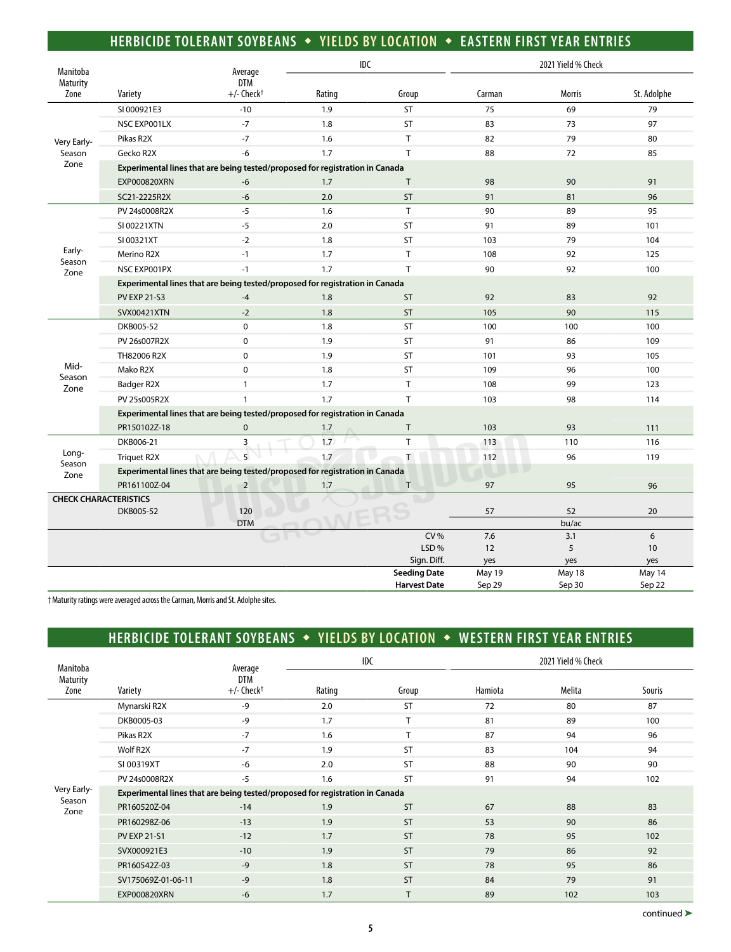### **HERBICIDE TOLERANT SOYBEANS** w **YIELDS BY LOCATION** w **EASTERN FIRST YEAR ENTRIES**

| Manitoba                     |                     | Average                                                                      | IDC    |                     |           | 2021 Yield % Check |             |
|------------------------------|---------------------|------------------------------------------------------------------------------|--------|---------------------|-----------|--------------------|-------------|
| Maturity                     |                     | <b>DTM</b>                                                                   |        |                     |           |                    |             |
| Zone                         | Variety             | $+/-$ Check <sup>+</sup>                                                     | Rating | Group               | Carman    | <b>Morris</b>      | St. Adolphe |
|                              | SI 000921E3         | $-10$                                                                        | 1.9    | <b>ST</b>           | 75        | 69                 | 79          |
|                              | NSC EXPO01LX        | $-7$                                                                         | 1.8    | <b>ST</b>           | 83        | 73                 | 97          |
| Very Early-                  | Pikas R2X           | $-7$                                                                         | 1.6    | T                   | 82        | 79                 | 80          |
| Season                       | Gecko R2X           | $-6$                                                                         | 1.7    | T                   | 88        | 72                 | 85          |
| Zone                         |                     | Experimental lines that are being tested/proposed for registration in Canada |        |                     |           |                    |             |
|                              | <b>EXP000820XRN</b> | $-6$                                                                         | 1.7    | T                   | 98        | 90                 | 91          |
|                              | SC21-2225R2X        | $-6$                                                                         | 2.0    | <b>ST</b>           | 91        | 81                 | 96          |
|                              | PV 24s0008R2X       | $-5$                                                                         | 1.6    | T                   | 90        | 89                 | 95          |
|                              | SI 00221XTN         | $-5$                                                                         | 2.0    | <b>ST</b>           | 91        | 89                 | 101         |
|                              | SI 00321XT          | $-2$                                                                         | 1.8    | <b>ST</b>           | 103       | 79                 | 104         |
| Early-                       | Merino R2X          | $-1$                                                                         | 1.7    | T                   | 108       | 92                 | 125         |
| Season<br>Zone               | NSC EXPO01PX        | $-1$                                                                         | 1.7    | T                   | 90        | 92                 | 100         |
|                              |                     | Experimental lines that are being tested/proposed for registration in Canada |        |                     |           |                    |             |
|                              | <b>PV EXP 21-S3</b> | $-4$                                                                         | 1.8    | <b>ST</b>           | 92        | 83                 | 92          |
|                              | SVX00421XTN         | $-2$                                                                         | 1.8    | <b>ST</b>           | 105       | 90                 | 115         |
|                              | DKB005-52           | $\mathbf 0$                                                                  | 1.8    | <b>ST</b>           | 100       | 100                | 100         |
|                              | PV 26s007R2X        | $\mathbf 0$                                                                  | 1.9    | <b>ST</b>           | 91        | 86                 | 109         |
|                              | TH82006 R2X         | $\Omega$                                                                     | 1.9    | <b>ST</b>           | 101       | 93                 | 105         |
| Mid-                         | Mako R2X            | $\mathbf 0$                                                                  | 1.8    | <b>ST</b>           | 109       | 96                 | 100         |
| Season<br>Zone               | Badger R2X          | $\mathbf{1}$                                                                 | 1.7    | T                   | 108       | 99                 | 123         |
|                              | PV 25s005R2X        | $\mathbf{1}$                                                                 | 1.7    | T                   | 103       | 98                 | 114         |
|                              |                     | Experimental lines that are being tested/proposed for registration in Canada |        |                     |           |                    |             |
|                              | PR150102Z-18        | $\mathbf 0$                                                                  | 1.7    | T                   | 103       | 93                 | 111         |
|                              | DKB006-21           | 3                                                                            | 1.7    | $\mathsf{T}$        | 113       | 110                | 116         |
| Long-                        | <b>Triquet R2X</b>  | $\overline{5}$                                                               | 1.7    | T                   | 112       | 96                 | 119         |
| Season<br>Zone               |                     | Experimental lines that are being tested/proposed for registration in Canada |        |                     |           |                    |             |
|                              | PR161100Z-04        | $\overline{2}$                                                               | 1.7    | T.                  | 97        | 95                 | 96          |
| <b>CHECK CHARACTERISTICS</b> |                     |                                                                              |        |                     |           |                    |             |
|                              | DKB005-52           | 120                                                                          |        |                     | 57        | 52                 | 20          |
|                              |                     | <b>DTM</b>                                                                   |        |                     |           | bu/ac              |             |
|                              |                     |                                                                              |        | CV%<br>LSD%         | 7.6<br>12 | 3.1<br>5           | 6<br>10     |
|                              |                     |                                                                              |        | Sign. Diff.         | yes       | yes                | yes         |
|                              |                     |                                                                              |        | <b>Seeding Date</b> | May 19    | May 18             | May 14      |
|                              |                     |                                                                              |        | <b>Harvest Date</b> | Sep 29    | Sep 30             | Sep 22      |

† Maturity ratings were averaged across the Carman, Morris and St. Adolphe sites.

# **HERBICIDE TOLERANT SOYBEANS • YIELDS BY LOCATION • WESTERN FIRST YEAR ENTRIES**

|                              |                                                                              |                                            | <b>IDC</b> |           |         | 2021 Yield % Check |               |  |  |  |  |
|------------------------------|------------------------------------------------------------------------------|--------------------------------------------|------------|-----------|---------|--------------------|---------------|--|--|--|--|
| Manitoba<br>Maturity<br>Zone | Variety                                                                      | Average<br>DTM<br>$+/-$ Check <sup>+</sup> | Rating     | Group     | Hamiota | <b>Melita</b>      | <b>Souris</b> |  |  |  |  |
|                              | Mynarski R2X                                                                 | $-9$                                       | 2.0        | <b>ST</b> | 72      | 80                 | 87            |  |  |  |  |
|                              | DKB0005-03                                                                   | $-9$                                       | 1.7        | $\mathbf$ | 81      | 89                 | 100           |  |  |  |  |
|                              | Pikas R2X                                                                    | $-7$                                       | 1.6        |           | 87      | 94                 | 96            |  |  |  |  |
|                              | Wolf R2X                                                                     | $-7$                                       | 1.9        | <b>ST</b> | 83      | 104                | 94            |  |  |  |  |
|                              | SI 00319XT                                                                   | $-6$                                       | 2.0        | <b>ST</b> | 88      | 90                 | 90            |  |  |  |  |
|                              | PV 24s0008R2X                                                                | $-5$                                       | 1.6        | <b>ST</b> | 91      | 94                 | 102           |  |  |  |  |
| Very Early-                  | Experimental lines that are being tested/proposed for registration in Canada |                                            |            |           |         |                    |               |  |  |  |  |
| Season<br>Zone               | PR160520Z-04                                                                 | $-14$                                      | 1.9        | <b>ST</b> | 67      | 88                 | 83            |  |  |  |  |
|                              | PR160298Z-06                                                                 | $-13$                                      | 1.9        | <b>ST</b> | 53      | 90                 | 86            |  |  |  |  |
|                              | <b>PV EXP 21-S1</b>                                                          | $-12$                                      | 1.7        | <b>ST</b> | 78      | 95                 | 102           |  |  |  |  |
|                              | SVX000921E3                                                                  | $-10$                                      | 1.9        | <b>ST</b> | 79      | 86                 | 92            |  |  |  |  |
|                              | PR160542Z-03                                                                 | $-9$                                       | 1.8        | <b>ST</b> | 78      | 95                 | 86            |  |  |  |  |
|                              | SV175069Z-01-06-11                                                           | $-9$                                       | 1.8        | <b>ST</b> | 84      | 79                 | 91            |  |  |  |  |
|                              | <b>EXP000820XRN</b>                                                          | $-6$                                       | 1.7        | T         | 89      | 102                | 103           |  |  |  |  |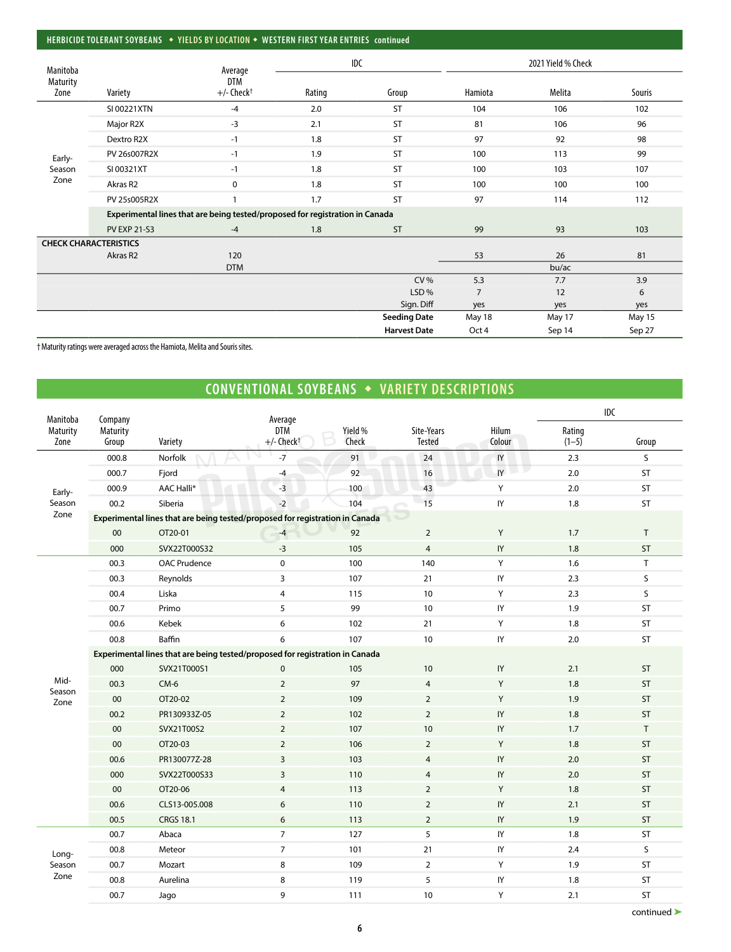#### **HERBICIDE TOLERANT SOYBEANS** w **YIELDS BY LOCATION** w **WESTERN FIRST YEAR ENTRIES continued**

| Manitoba                     |                     | Average                                                                      |        | <b>IDC</b>          |                | 2021 Yield % Check |        |
|------------------------------|---------------------|------------------------------------------------------------------------------|--------|---------------------|----------------|--------------------|--------|
| <b>Maturity</b>              |                     | <b>DTM</b>                                                                   |        |                     |                |                    |        |
| Zone                         | Variety             | $+/-$ Check <sup>+</sup>                                                     | Rating | Group               | Hamiota        | Melita             | Souris |
|                              | SI 00221XTN         | $-4$                                                                         | 2.0    | <b>ST</b>           | 104            | 106                | 102    |
|                              | Major R2X           | $-3$                                                                         | 2.1    | <b>ST</b>           | 81             | 106                | 96     |
|                              | Dextro R2X          | $-1$                                                                         | 1.8    | ST                  | 97             | 92                 | 98     |
| Early-                       | PV 26s007R2X        | $-1$                                                                         | 1.9    | ST                  | 100            | 113                | 99     |
| Season                       | SI 00321XT          | $-1$                                                                         | 1.8    | <b>ST</b>           | 100            | 103                | 107    |
| Zone                         | Akras R2            | $\mathbf 0$                                                                  | 1.8    | <b>ST</b>           | 100            | 100                | 100    |
|                              | PV 25s005R2X        |                                                                              | 1.7    | <b>ST</b>           | 97             | 114                | 112    |
|                              |                     | Experimental lines that are being tested/proposed for registration in Canada |        |                     |                |                    |        |
|                              | <b>PV EXP 21-S3</b> | $-4$                                                                         | 1.8    | <b>ST</b>           | 99             | 93                 | 103    |
| <b>CHECK CHARACTERISTICS</b> |                     |                                                                              |        |                     |                |                    |        |
|                              | Akras R2            | 120                                                                          |        |                     | 53             | 26                 | 81     |
|                              |                     | <b>DTM</b>                                                                   |        |                     |                | bu/ac              |        |
|                              |                     |                                                                              |        | CV%                 | 5.3            | 7.7                | 3.9    |
|                              |                     |                                                                              |        | LSD%                | $\overline{7}$ | 12                 | 6      |
|                              |                     |                                                                              |        | Sign. Diff          | yes            | yes                | yes    |
|                              |                     |                                                                              |        | <b>Seeding Date</b> | May 18         | May 17             | May 15 |
|                              |                     |                                                                              |        | <b>Harvest Date</b> | Oct 4          | Sep 14             | Sep 27 |

† Maturity ratings were averaged across the Hamiota, Melita and Souris sites.

## **CONVENTIONAL SOYBEANS • VARIETY DESCRIPTIONS**

| Manitoba         | Company           |                                                                              | Average                                |                  |                             |                 |                   | IDC          |
|------------------|-------------------|------------------------------------------------------------------------------|----------------------------------------|------------------|-----------------------------|-----------------|-------------------|--------------|
| Maturity<br>Zone | Maturity<br>Group | Variety                                                                      | <b>DTM</b><br>$+/-$ Check <sup>+</sup> | Yield %<br>Check | Site-Years<br><b>Tested</b> | Hilum<br>Colour | Rating<br>$(1-5)$ | Group        |
|                  | 000.8             | Norfolk                                                                      | $-7$                                   | 91               | 24                          | IY              | 2.3               | S            |
|                  | 000.7             | Fjord                                                                        | $-4$                                   | 92               | 16                          | IY              | 2.0               | ST           |
| Early-           | 000.9             | AAC Halli*                                                                   | $-3$                                   | 100              | 43                          | Υ               | 2.0               | ST           |
| Season           | 00.2              | Siberia                                                                      | $-2$                                   | 104              | 15                          | IY              | 1.8               | ST           |
| Zone             |                   | Experimental lines that are being tested/proposed for registration in Canada |                                        |                  |                             |                 |                   |              |
|                  | 00                | OT20-01                                                                      | $-4$                                   | 92               | $\overline{2}$              | Y               | 1.7               | $\mathsf T$  |
|                  | 000               | SVX22T000S32                                                                 | $-3$                                   | 105              | $\overline{4}$              | IY              | 1.8               | ST           |
|                  | 00.3              | <b>OAC Prudence</b>                                                          | $\pmb{0}$                              | 100              | 140                         | Υ               | 1.6               | $\mathsf{T}$ |
|                  | 00.3              | Reynolds                                                                     | $\overline{\mathbf{3}}$                | 107              | 21                          | IY              | 2.3               | S            |
|                  | 00.4              | Liska                                                                        | $\overline{4}$                         | 115              | 10                          | Υ               | 2.3               | S            |
|                  | 00.7              | Primo                                                                        | 5                                      | 99               | 10                          | $\sf{IY}$       | 1.9               | ST           |
|                  | 00.6              | Kebek                                                                        | 6                                      | 102              | 21                          | Υ               | 1.8               | ST           |
|                  | 00.8              | Baffin                                                                       | 6                                      | 107              | 10                          | $\mathsf{I}$    | 2.0               | ST           |
|                  |                   | Experimental lines that are being tested/proposed for registration in Canada |                                        |                  |                             |                 |                   |              |
|                  | 000               | SVX21T000S1                                                                  | $\pmb{0}$                              | 105              | 10                          | IY              | 2.1               | ST           |
| Mid-<br>Season   | 00.3              | $CM-6$                                                                       | $\overline{2}$                         | 97               | $\overline{4}$              | Y               | 1.8               | ST           |
| Zone             | 00                | OT20-02                                                                      | $\mathbf 2$                            | 109              | $\overline{2}$              | Y               | 1.9               | ST           |
|                  | 00.2              | PR130933Z-05                                                                 | $\overline{2}$                         | 102              | $\overline{2}$              | IY              | 1.8               | ST           |
|                  | $00\,$            | SVX21T00S2                                                                   | $\overline{2}$                         | 107              | 10                          | $\sf{IY}$       | 1.7               | $\mathsf{T}$ |
|                  | 00                | OT20-03                                                                      | $\overline{2}$                         | 106              | $\overline{2}$              | Y               | 1.8               | ST           |
|                  | 00.6              | PR130077Z-28                                                                 | $\overline{3}$                         | 103              | 4                           | IY              | 2.0               | ST           |
|                  | 000               | SVX22T000S33                                                                 | $\overline{3}$                         | 110              | $\overline{4}$              | IY              | 2.0               | ST           |
|                  | $00\,$            | OT20-06                                                                      | $\overline{4}$                         | 113              | $\overline{2}$              | Y               | 1.8               | ST           |
|                  | 00.6              | CLS13-005.008                                                                | 6                                      | 110              | $\overline{2}$              | IY              | 2.1               | ST           |
|                  | 00.5              | <b>CRGS 18.1</b>                                                             | $\boldsymbol{6}$                       | 113              | $\overline{2}$              | IY              | 1.9               | ST           |
|                  | 00.7              | Abaca                                                                        | $\overline{7}$                         | 127              | 5                           | IY              | 1.8               | ST           |
| Long-            | 00.8              | Meteor                                                                       | $\overline{7}$                         | 101              | 21                          | IY              | 2.4               | S            |
| Season           | 00.7              | Mozart                                                                       | 8                                      | 109              | $\overline{2}$              | Υ               | 1.9               | ST           |
| Zone             | 00.8              | Aurelina                                                                     | 8                                      | 119              | 5                           | IY              | 1.8               | ST           |
|                  | 00.7              | Jago                                                                         | 9                                      | 111              | 10                          | Υ               | 2.1               | <b>ST</b>    |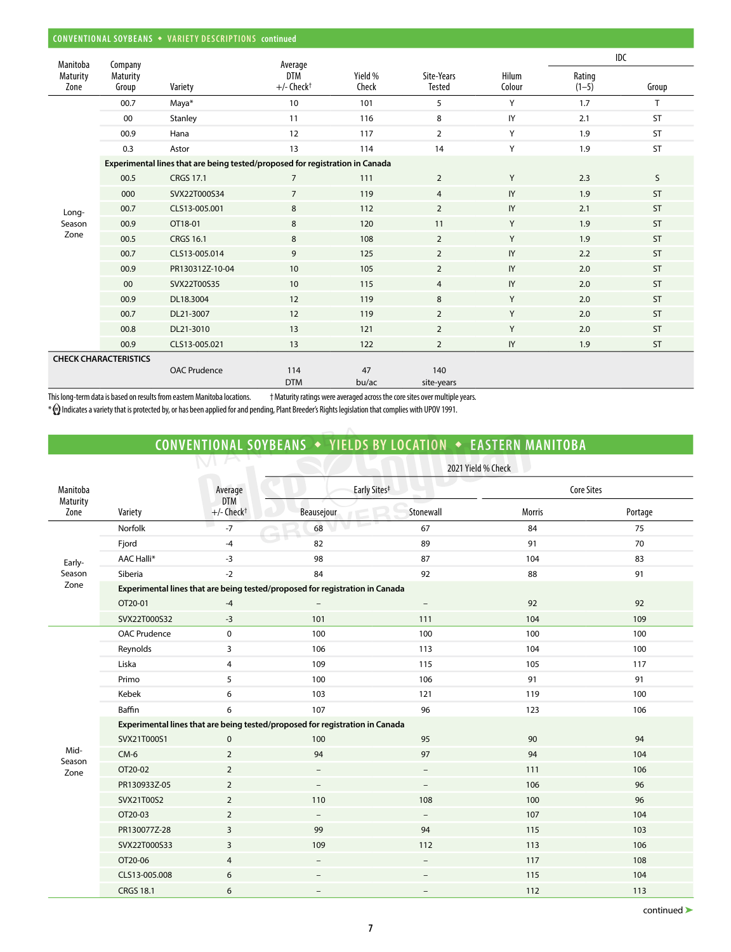|                  | CONVENTIONAL SOYBEANS • VARIETY DESCRIPTIONS continued |                                                                              |                                        |                  |                             |                 |                   |           |  |  |  |
|------------------|--------------------------------------------------------|------------------------------------------------------------------------------|----------------------------------------|------------------|-----------------------------|-----------------|-------------------|-----------|--|--|--|
| Manitoba         | Company                                                |                                                                              | Average                                |                  |                             |                 |                   | IDC       |  |  |  |
| Maturity<br>Zone | <b>Maturity</b><br>Group                               | Variety                                                                      | <b>DTM</b><br>$+/-$ Check <sup>+</sup> | Yield %<br>Check | Site-Years<br><b>Tested</b> | Hilum<br>Colour | Rating<br>$(1-5)$ | Group     |  |  |  |
|                  | 00.7                                                   | Maya*                                                                        | 10                                     | 101              | 5                           | Y               | 1.7               | T         |  |  |  |
|                  | 00                                                     | Stanley                                                                      | 11                                     | 116              | 8                           | IY              | 2.1               | <b>ST</b> |  |  |  |
|                  | 00.9                                                   | Hana                                                                         | 12                                     | 117              | $\overline{2}$              | Y               | 1.9               | <b>ST</b> |  |  |  |
|                  | 0.3                                                    | Astor                                                                        | 13                                     | 114              | 14                          | Y               | 1.9               | <b>ST</b> |  |  |  |
|                  |                                                        | Experimental lines that are being tested/proposed for registration in Canada |                                        |                  |                             |                 |                   |           |  |  |  |
|                  | 00.5                                                   | <b>CRGS 17.1</b>                                                             | $\overline{7}$                         | 111              | $\overline{2}$              | Y               | 2.3               | S         |  |  |  |
|                  | 000                                                    | SVX22T000S34                                                                 | $\overline{7}$                         | 119              | $\overline{4}$              | IY              | 1.9               | <b>ST</b> |  |  |  |
| Long-            | 00.7                                                   | CLS13-005.001                                                                | 8                                      | 112              | $\overline{2}$              | IY              | 2.1               | <b>ST</b> |  |  |  |
| Season           | 00.9                                                   | OT18-01                                                                      | 8                                      | 120              | 11                          | Y               | 1.9               | <b>ST</b> |  |  |  |
| Zone             | 00.5                                                   | <b>CRGS 16.1</b>                                                             | 8                                      | 108              | $\overline{2}$              | Y               | 1.9               | <b>ST</b> |  |  |  |
|                  | 00.7                                                   | CLS13-005.014                                                                | 9                                      | 125              | $\overline{2}$              | IY              | 2.2               | ST        |  |  |  |
|                  | 00.9                                                   | PR130312Z-10-04                                                              | 10                                     | 105              | $\overline{2}$              | IY              | 2.0               | <b>ST</b> |  |  |  |
|                  | 00                                                     | SVX22T00S35                                                                  | 10                                     | 115              | $\overline{4}$              | IY              | 2.0               | <b>ST</b> |  |  |  |
|                  | 00.9                                                   | DL18.3004                                                                    | 12                                     | 119              | 8                           | Y               | 2.0               | <b>ST</b> |  |  |  |
|                  | 00.7                                                   | DL21-3007                                                                    | 12                                     | 119              | $\overline{2}$              | Y               | 2.0               | <b>ST</b> |  |  |  |
|                  | 00.8                                                   | DL21-3010                                                                    | 13                                     | 121              | $\overline{2}$              | Y               | 2.0               | <b>ST</b> |  |  |  |
|                  | 00.9                                                   | CLS13-005.021                                                                | 13                                     | 122              | $\overline{2}$              | IY              | 1.9               | <b>ST</b> |  |  |  |
|                  | <b>CHECK CHARACTERISTICS</b>                           |                                                                              |                                        |                  |                             |                 |                   |           |  |  |  |
|                  |                                                        | <b>OAC Prudence</b>                                                          | 114                                    | 47               | 140                         |                 |                   |           |  |  |  |
|                  |                                                        |                                                                              | <b>DTM</b>                             | bu/ac            | site-years                  |                 |                   |           |  |  |  |

This long-term data is based on results from eastern Manitoba locations. † Maturity ratings were averaged across the core sites over multiple years.

\* Indicates a variety that is protected by, or has been applied for and pending, Plant Breeder's Rights legislation that complies with UPOV 1991.

# **CONVENTIONAL SOYBEANS** w **YIELDS BY LOCATION** w **EASTERN MANITOBA**

|                      |                     |                                                                              |                                                                              | 2021 Yield % Check       |               |                   |  |  |  |  |  |
|----------------------|---------------------|------------------------------------------------------------------------------|------------------------------------------------------------------------------|--------------------------|---------------|-------------------|--|--|--|--|--|
| Manitoba<br>Maturity |                     | Average<br><b>DTM</b>                                                        | Early Sites <sup>#</sup>                                                     |                          |               | <b>Core Sites</b> |  |  |  |  |  |
| Zone                 | Variety             | $+/-$ Check <sup>+</sup>                                                     | Beausejour                                                                   | Stonewall                | <b>Morris</b> | Portage           |  |  |  |  |  |
|                      | Norfolk             | $-7$                                                                         | 68                                                                           | 67                       | 84            | 75                |  |  |  |  |  |
|                      | Fjord               | $-4$                                                                         | 82                                                                           | 89                       | 91            | 70                |  |  |  |  |  |
| Early-               | <b>AAC Halli*</b>   | $-3$                                                                         | 98                                                                           | 87                       | 104           | 83                |  |  |  |  |  |
| Season               | Siberia             | $-2$                                                                         | 84                                                                           | 92                       | 88            | 91                |  |  |  |  |  |
| Zone                 |                     |                                                                              | Experimental lines that are being tested/proposed for registration in Canada |                          |               |                   |  |  |  |  |  |
|                      | OT20-01             | $-4$                                                                         |                                                                              |                          | 92            | 92                |  |  |  |  |  |
|                      | SVX22T000S32        | $-3$                                                                         | 101                                                                          | 111                      | 104           | 109               |  |  |  |  |  |
|                      | <b>OAC Prudence</b> | 0                                                                            | 100                                                                          | 100                      | 100           | 100               |  |  |  |  |  |
|                      | Reynolds            | 3                                                                            | 106                                                                          | 113                      | 104           | 100               |  |  |  |  |  |
|                      | Liska               | 4                                                                            | 109                                                                          | 115                      | 105           | 117               |  |  |  |  |  |
|                      | Primo               | 5                                                                            | 100                                                                          | 106                      | 91            | 91                |  |  |  |  |  |
|                      | Kebek               | 6                                                                            | 103                                                                          | 121                      | 119           | 100               |  |  |  |  |  |
|                      | Baffin              | 6                                                                            | 107                                                                          | 96                       | 123           | 106               |  |  |  |  |  |
|                      |                     | Experimental lines that are being tested/proposed for registration in Canada |                                                                              |                          |               |                   |  |  |  |  |  |
|                      | SVX21T000S1         | $\mathbf 0$                                                                  | 100                                                                          | 95                       | 90            | 94                |  |  |  |  |  |
| Mid-<br>Season       | $CM-6$              | $\overline{2}$                                                               | 94                                                                           | 97                       | 94            | 104               |  |  |  |  |  |
| Zone                 | OT20-02             | $\overline{2}$                                                               | $\overline{\phantom{a}}$                                                     | $\overline{\phantom{a}}$ | 111           | 106               |  |  |  |  |  |
|                      | PR130933Z-05        | $\overline{2}$                                                               | $\overline{\phantom{a}}$                                                     | $\overline{\phantom{a}}$ | 106           | 96                |  |  |  |  |  |
|                      | SVX21T00S2          | $\overline{2}$                                                               | 110                                                                          | 108                      | 100           | 96                |  |  |  |  |  |
|                      | OT20-03             | $\overline{2}$                                                               | $\overline{\phantom{a}}$                                                     | $\overline{\phantom{m}}$ | 107           | 104               |  |  |  |  |  |
|                      | PR130077Z-28        | $\overline{3}$                                                               | 99                                                                           | 94                       | 115           | 103               |  |  |  |  |  |
|                      | SVX22T000S33        | 3                                                                            | 109                                                                          | 112                      | 113           | 106               |  |  |  |  |  |
|                      | OT20-06             | $\overline{4}$                                                               | $\overline{\phantom{a}}$                                                     | $\overline{\phantom{a}}$ | 117           | 108               |  |  |  |  |  |
|                      | CLS13-005.008       | 6                                                                            | $\qquad \qquad -$                                                            |                          | 115           | 104               |  |  |  |  |  |
|                      | <b>CRGS 18.1</b>    | 6                                                                            | $\overline{\phantom{m}}$                                                     | $\overline{\phantom{0}}$ | 112           | 113               |  |  |  |  |  |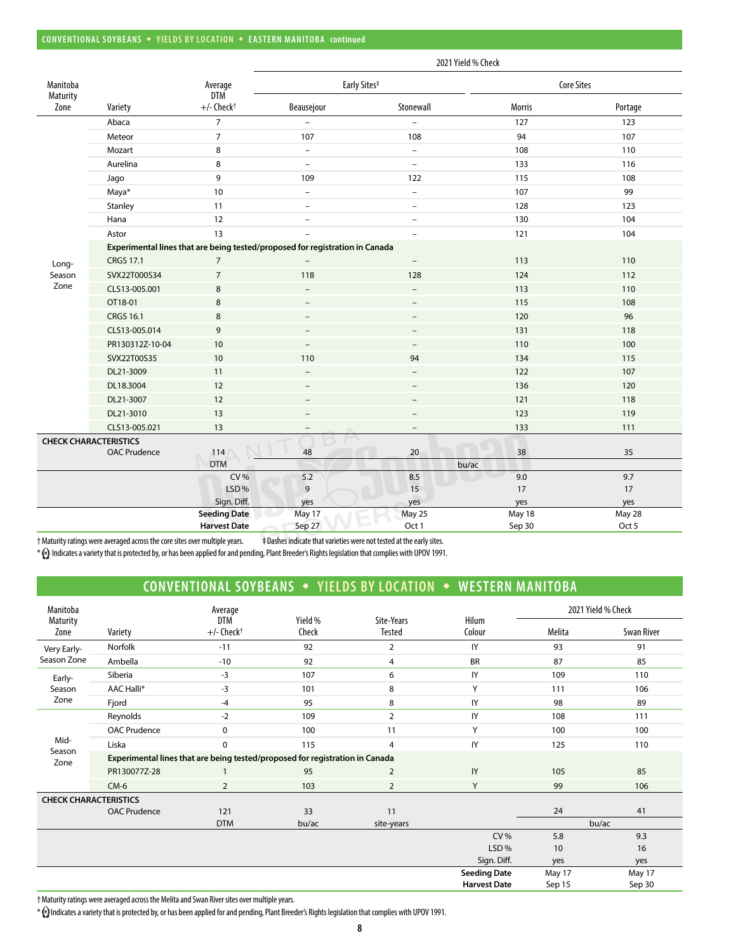|                      |                              |                                            |                                                                              | 2021 Yield % Check       |                  |                   |
|----------------------|------------------------------|--------------------------------------------|------------------------------------------------------------------------------|--------------------------|------------------|-------------------|
| Manitoba<br>Maturity |                              | Average<br><b>DTM</b>                      |                                                                              | Early Sites <sup>#</sup> |                  | <b>Core Sites</b> |
| Zone                 | Variety                      | $+/-$ Check <sup>+</sup>                   | Beausejour                                                                   | Stonewall                | <b>Morris</b>    | Portage           |
|                      | Abaca                        | $\overline{7}$                             |                                                                              |                          | 127              | 123               |
|                      | Meteor                       | $\overline{7}$                             | 107                                                                          | 108                      | 94               | 107               |
|                      | Mozart                       | 8                                          | $\overline{\phantom{a}}$                                                     | $\overline{\phantom{0}}$ | 108              | 110               |
|                      | Aurelina                     | 8                                          | $\overline{\phantom{a}}$                                                     | $\overline{\phantom{0}}$ | 133              | 116               |
|                      | Jago                         | 9                                          | 109                                                                          | 122                      | 115              | 108               |
|                      | Maya*                        | 10                                         | $\overline{\phantom{a}}$                                                     | $\overline{\phantom{0}}$ | 107              | 99                |
|                      | Stanley                      | 11                                         | $\sim$                                                                       | $\overline{\phantom{0}}$ | 128              | 123               |
|                      | Hana                         | 12                                         | $\overline{\phantom{a}}$                                                     | $\qquad \qquad -$        | 130              | 104               |
|                      | Astor                        | 13                                         |                                                                              | $\overline{a}$           | 121              | 104               |
|                      |                              |                                            | Experimental lines that are being tested/proposed for registration in Canada |                          |                  |                   |
| Long-                | <b>CRGS 17.1</b>             | $\overline{7}$                             |                                                                              |                          | 113              | 110               |
| Season               | SVX22T000S34                 | $\overline{7}$                             | 118                                                                          | 128                      | 124              | 112               |
| Zone                 | CLS13-005.001                | 8                                          | $\overline{\phantom{0}}$                                                     | $\overline{a}$           | 113              | 110               |
|                      | OT18-01                      | 8                                          | $\overline{\phantom{a}}$                                                     | $\overline{\phantom{0}}$ | 115              | 108               |
|                      | <b>CRGS 16.1</b>             | 8                                          | $\qquad \qquad -$                                                            | $\overline{\phantom{0}}$ | 120              | 96                |
|                      | CLS13-005.014                | 9                                          |                                                                              |                          | 131              | 118               |
|                      | PR130312Z-10-04              | 10                                         |                                                                              |                          | 110              | 100               |
|                      | SVX22T00S35                  | 10                                         | 110                                                                          | 94                       | 134              | 115               |
|                      | DL21-3009                    | 11                                         | $\overline{\phantom{a}}$                                                     | -                        | 122              | 107               |
|                      | DL18.3004                    | 12                                         |                                                                              | $\overline{\phantom{0}}$ | 136              | 120               |
|                      | DL21-3007                    | 12                                         |                                                                              | $\overline{a}$           | 121              | 118               |
|                      | DL21-3010                    | 13                                         | $\overline{\phantom{a}}$                                                     | $\qquad \qquad -$        | 123              | 119               |
|                      | CLS13-005.021                | 13                                         |                                                                              | -                        | 133              | 111               |
|                      | <b>CHECK CHARACTERISTICS</b> |                                            |                                                                              |                          |                  |                   |
|                      | <b>OAC Prudence</b>          | 114                                        | 48                                                                           | 20                       | 38               | 35                |
|                      |                              | <b>DTM</b>                                 |                                                                              | bu/ac                    |                  |                   |
|                      |                              | <b>CV%</b>                                 | 5.2                                                                          | 8.5                      | 9.0              | 9.7               |
|                      |                              | LSD%                                       | 9                                                                            | 15                       | 17               | 17                |
|                      |                              | Sign. Diff.                                | yes                                                                          | yes                      | yes              | yes               |
|                      |                              | <b>Seeding Date</b><br><b>Harvest Date</b> | May 17<br>Sep 27                                                             | May 25<br>Oct 1          | May 18<br>Sep 30 | May 28<br>Oct 5   |

† Maturity ratings were averaged across the core sites over multiple years. ‡ Dashes indicate that varieties were not tested at the early sites.

\*  $\bullet$  Indicates a variety that is protected by, or has been applied for and pending, Plant Breeder's Rights legislation that complies with UPOV 1991.

### **CONVENTIONAL SOYBEANS • YIELDS BY LOCATION • WESTERN MANITOBA**

| Manitoba                     |                     | Average                                                                      |                  |                      |                     |        | 2021 Yield % Check |
|------------------------------|---------------------|------------------------------------------------------------------------------|------------------|----------------------|---------------------|--------|--------------------|
| Maturity<br>Zone             | Variety             | <b>DTM</b><br>$+/-$ Check <sup>+</sup>                                       | Yield %<br>Check | Site-Years<br>Tested | Hilum<br>Colour     | Melita | Swan River         |
| Very Early-                  | Norfolk             | $-11$                                                                        | 92               | $\overline{2}$       | IY                  | 93     | 91                 |
| Season Zone                  | Ambella             | $-10$                                                                        | 92               | 4                    | <b>BR</b>           | 87     | 85                 |
| Early-                       | Siberia             | $-3$                                                                         | 107              | 6                    | IY                  | 109    | 110                |
| Season                       | AAC Halli*          | $-3$                                                                         | 101              | 8                    | Y                   | 111    | 106                |
| Zone                         | Fjord               | $-4$                                                                         | 95               | 8                    | IY                  | 98     | 89                 |
|                              | Reynolds            | $-2$                                                                         | 109              | $\overline{2}$       | IY                  | 108    | 111                |
|                              | <b>OAC Prudence</b> | $\mathbf 0$                                                                  | 100              | 11                   | Y                   | 100    | 100                |
| Mid-                         | Liska               | 0                                                                            | 115              | $\overline{4}$       | IY                  | 125    | 110                |
| Season<br>Zone               |                     | Experimental lines that are being tested/proposed for registration in Canada |                  |                      |                     |        |                    |
|                              | PR130077Z-28        |                                                                              | 95               | $\overline{2}$       | IY                  | 105    | 85                 |
|                              | $CM-6$              | $\overline{2}$                                                               | 103              | $\overline{2}$       | Y                   | 99     | 106                |
| <b>CHECK CHARACTERISTICS</b> |                     |                                                                              |                  |                      |                     |        |                    |
|                              | <b>OAC Prudence</b> | 121                                                                          | 33               | 11                   |                     | 24     | 41                 |
|                              |                     | <b>DTM</b>                                                                   | bu/ac            | site-years           |                     |        | bu/ac              |
|                              |                     |                                                                              |                  |                      | <b>CV%</b>          | 5.8    | 9.3                |
|                              |                     |                                                                              |                  |                      | LSD%                | 10     | 16                 |
|                              |                     |                                                                              |                  |                      | Sign. Diff.         | yes    | yes                |
|                              |                     |                                                                              |                  |                      | <b>Seeding Date</b> | May 17 | May 17             |
|                              |                     |                                                                              |                  |                      | <b>Harvest Date</b> | Sep 15 | Sep 30             |

† Maturity ratings were averaged across the Melita and Swan River sites over multiple years.

\* Indicates a variety that is protected by, or has been applied for and pending, Plant Breeder's Rights legislation that complies with UPOV 1991.